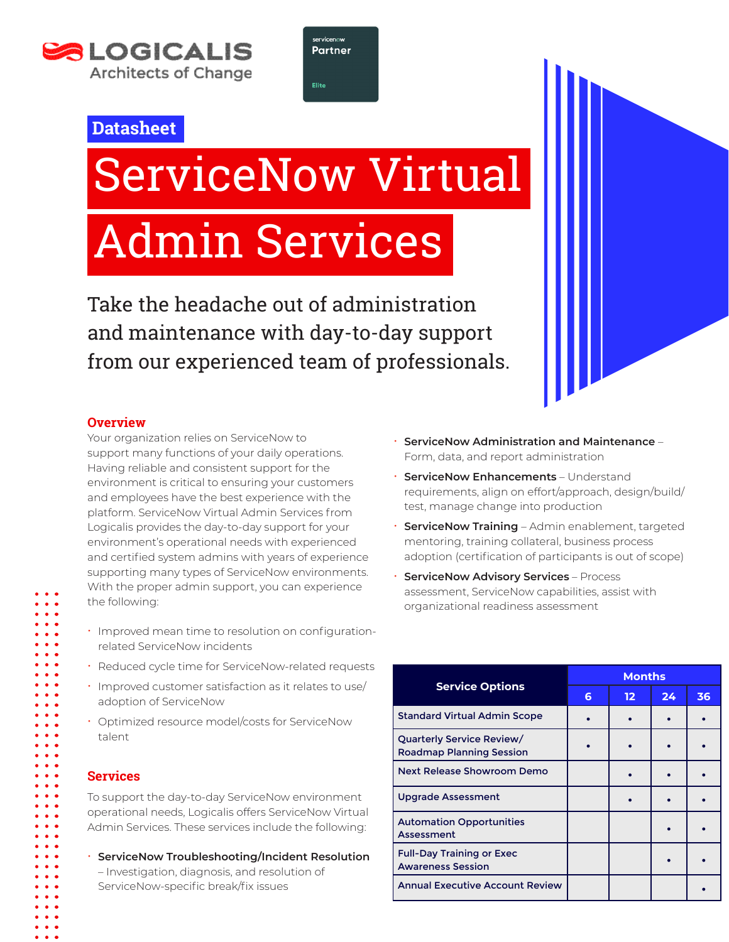



# **Datasheet**

# ServiceNow Virtual Admin Services

Take the headache out of administration and maintenance with day-to-day support from our experienced team of professionals.

## **Overview**

Your organization relies on ServiceNow to support many functions of your daily operations. Having reliable and consistent support for the environment is critical to ensuring your customers and employees have the best experience with the platform. ServiceNow Virtual Admin Services from Logicalis provides the day-to-day support for your environment's operational needs with experienced and certified system admins with years of experience supporting many types of ServiceNow environments. With the proper admin support, you can experience the following:

- $\cdot$  Improved mean time to resolution on configurationrelated ServiceNow incidents
- Reduced cycle time for ServiceNow-related requests
- Improved customer satisfaction as it relates to use/ adoption of ServiceNow
- x Optimized resource model/costs for ServiceNow talent

# **Services**

To support the day-to-day ServiceNow environment operational needs, Logicalis offers ServiceNow Virtual Admin Services. These services include the following:

- x **ServiceNow Troubleshooting/Incident Resolution**
	- Investigation, diagnosis, and resolution of ServiceNow-specific break/fix issues
- x **ServiceNow Administration and Maintenance**  Form, data, and report administration
- x **ServiceNow Enhancements** Understand requirements, align on effort/approach, design/build/ test, manage change into production
- **· ServiceNow Training** Admin enablement, targeted mentoring, training collateral, business process adoption (certification of participants is out of scope)
- **ServiceNow Advisory Services** Process assessment, ServiceNow capabilities, assist with organizational readiness assessment

| <b>Service Options</b>                                       | <b>Months</b> |                   |          |    |
|--------------------------------------------------------------|---------------|-------------------|----------|----|
|                                                              | 6             | $12 \overline{ }$ | $24^{1}$ | 36 |
| <b>Standard Virtual Admin Scope</b>                          |               |                   |          |    |
| Quarterly Service Review/<br><b>Roadmap Planning Session</b> |               |                   |          |    |
| <b>Next Release Showroom Demo</b>                            |               |                   |          |    |
| <b>Upgrade Assessment</b>                                    |               |                   |          |    |
| <b>Automation Opportunities</b><br>Assessment                |               |                   |          |    |
| <b>Full-Day Training or Exec</b><br><b>Awareness Session</b> |               |                   |          |    |
| <b>Annual Executive Account Review</b>                       |               |                   |          |    |